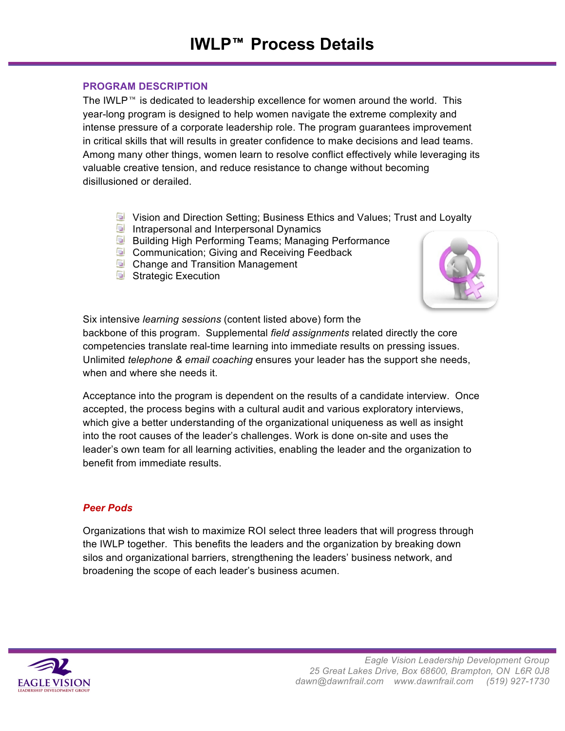## **PROGRAM DESCRIPTION**

The IWLP<sup> $m$ </sup> is dedicated to leadership excellence for women around the world. This year-long program is designed to help women navigate the extreme complexity and intense pressure of a corporate leadership role. The program guarantees improvement in critical skills that will results in greater confidence to make decisions and lead teams. Among many other things, women learn to resolve conflict effectively while leveraging its valuable creative tension, and reduce resistance to change without becoming disillusioned or derailed.

- Vision and Direction Setting; Business Ethics and Values; Trust and Loyalty
- Intrapersonal and Interpersonal Dynamics
- **B** Building High Performing Teams; Managing Performance
- **E** Communication; Giving and Receiving Feedback
- **D** Change and Transition Management
- Strategic Execution



Six intensive *learning sessions* (content listed above) form the

backbone of this program. Supplemental *field assignments* related directly the core competencies translate real-time learning into immediate results on pressing issues. Unlimited *telephone & email coaching* ensures your leader has the support she needs, when and where she needs it.

Acceptance into the program is dependent on the results of a candidate interview. Once accepted, the process begins with a cultural audit and various exploratory interviews, which give a better understanding of the organizational uniqueness as well as insight into the root causes of the leader's challenges. Work is done on-site and uses the leader's own team for all learning activities, enabling the leader and the organization to benefit from immediate results.

# *Peer Pods*

Organizations that wish to maximize ROI select three leaders that will progress through the IWLP together. This benefits the leaders and the organization by breaking down silos and organizational barriers, strengthening the leaders' business network, and broadening the scope of each leader's business acumen.

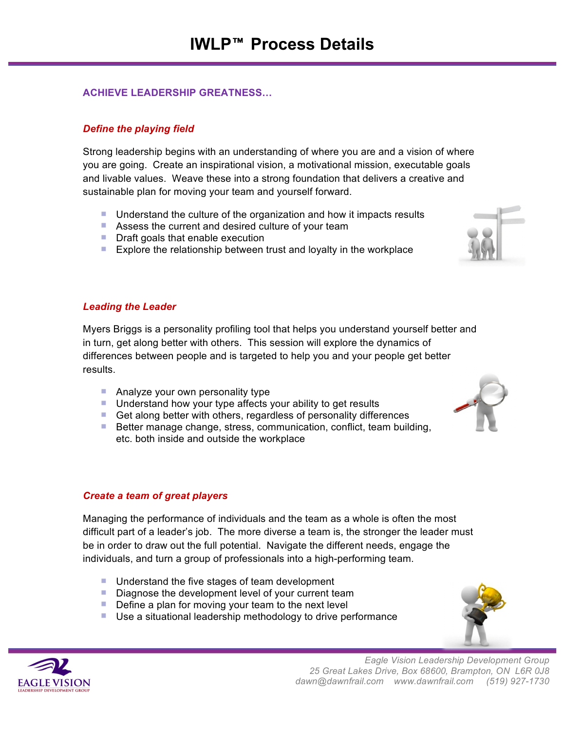## **ACHIEVE LEADERSHIP GREATNESS…**

## *Define the playing field*

Strong leadership begins with an understanding of where you are and a vision of where you are going. Create an inspirational vision, a motivational mission, executable goals and livable values. Weave these into a strong foundation that delivers a creative and sustainable plan for moving your team and yourself forward.

- Understand the culture of the organization and how it impacts results
- Assess the current and desired culture of your team
- **Draft goals that enable execution**
- Explore the relationship between trust and loyalty in the workplace

### *Leading the Leader*

Myers Briggs is a personality profiling tool that helps you understand yourself better and in turn, get along better with others. This session will explore the dynamics of differences between people and is targeted to help you and your people get better results.

- **Analyze your own personality type**
- Understand how your type affects your ability to get results
- Get along better with others, regardless of personality differences
- Better manage change, stress, communication, conflict, team building, etc. both inside and outside the workplace

#### *Create a team of great players*

Managing the performance of individuals and the team as a whole is often the most difficult part of a leader's job. The more diverse a team is, the stronger the leader must be in order to draw out the full potential. Navigate the different needs, engage the individuals, and turn a group of professionals into a high-performing team.

- Understand the five stages of team development
- Diagnose the development level of your current team
- $\blacksquare$  Define a plan for moving your team to the next level
- Use a situational leadership methodology to drive performance





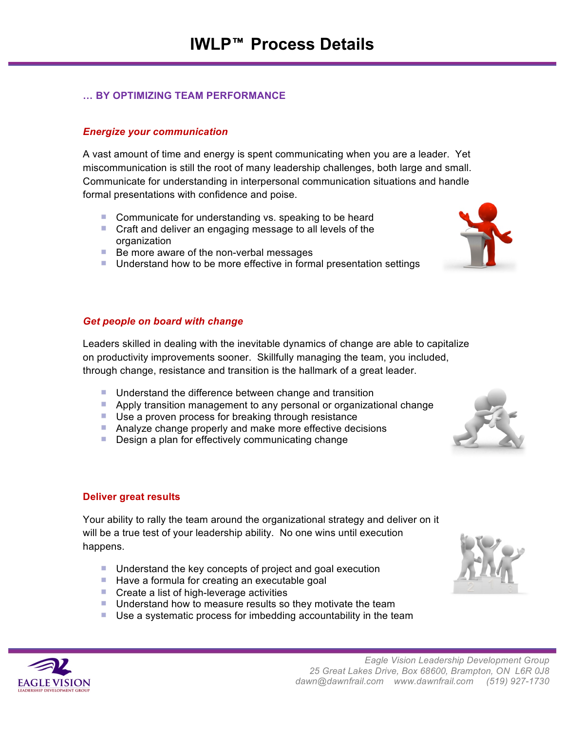## **… BY OPTIMIZING TEAM PERFORMANCE**

## *Energize your communication*

A vast amount of time and energy is spent communicating when you are a leader. Yet miscommunication is still the root of many leadership challenges, both large and small. Communicate for understanding in interpersonal communication situations and handle formal presentations with confidence and poise.

- Communicate for understanding vs. speaking to be heard
- **Craft and deliver an engaging message to all levels of the** organization
- $\blacksquare$  Be more aware of the non-verbal messages
- **Understand how to be more effective in formal presentation settings**

### *Get people on board with change*

Leaders skilled in dealing with the inevitable dynamics of change are able to capitalize on productivity improvements sooner. Skillfully managing the team, you included, through change, resistance and transition is the hallmark of a great leader.

- Understand the difference between change and transition
- **Apply transition management to any personal or organizational change**
- Use a proven process for breaking through resistance
- Analyze change properly and make more effective decisions
- **Design a plan for effectively communicating change**

#### **Deliver great results**

Your ability to rally the team around the organizational strategy and deliver on it will be a true test of your leadership ability. No one wins until execution happens.

- Understand the key concepts of project and goal execution
- $\blacksquare$  Have a formula for creating an executable goal
- Create a list of high-leverage activities
- **Understand how to measure results so they motivate the team**
- Use a systematic process for imbedding accountability in the team







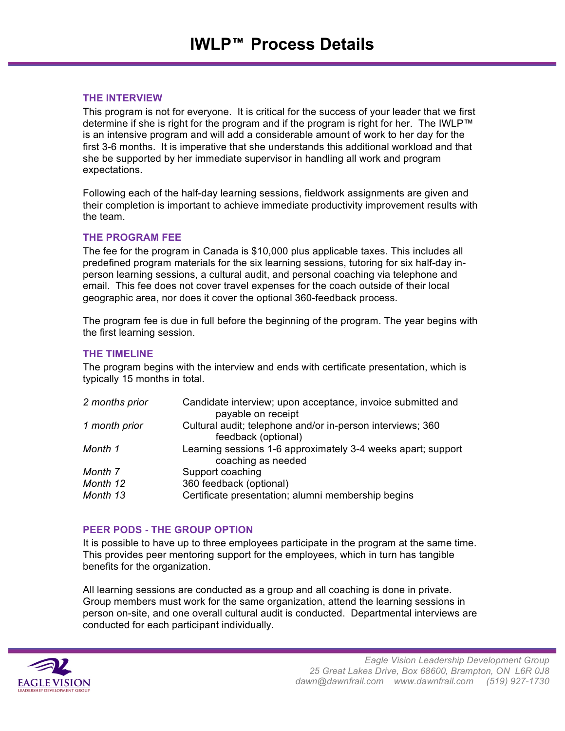#### **THE INTERVIEW**

This program is not for everyone. It is critical for the success of your leader that we first determine if she is right for the program and if the program is right for her. The IWLP™ is an intensive program and will add a considerable amount of work to her day for the first 3-6 months. It is imperative that she understands this additional workload and that she be supported by her immediate supervisor in handling all work and program expectations.

Following each of the half-day learning sessions, fieldwork assignments are given and their completion is important to achieve immediate productivity improvement results with the team.

### **THE PROGRAM FEE**

The fee for the program in Canada is \$10,000 plus applicable taxes. This includes all predefined program materials for the six learning sessions, tutoring for six half-day inperson learning sessions, a cultural audit, and personal coaching via telephone and email. This fee does not cover travel expenses for the coach outside of their local geographic area, nor does it cover the optional 360-feedback process.

The program fee is due in full before the beginning of the program. The year begins with the first learning session.

### **THE TIMELINE**

The program begins with the interview and ends with certificate presentation, which is typically 15 months in total.

| 2 months prior | Candidate interview; upon acceptance, invoice submitted and<br>payable on receipt  |
|----------------|------------------------------------------------------------------------------------|
| 1 month prior  | Cultural audit; telephone and/or in-person interviews; 360<br>feedback (optional)  |
| Month 1        | Learning sessions 1-6 approximately 3-4 weeks apart; support<br>coaching as needed |
| Month 7        | Support coaching                                                                   |
| Month 12       | 360 feedback (optional)                                                            |
| Month 13       | Certificate presentation; alumni membership begins                                 |

## **PEER PODS - THE GROUP OPTION**

It is possible to have up to three employees participate in the program at the same time. This provides peer mentoring support for the employees, which in turn has tangible benefits for the organization.

All learning sessions are conducted as a group and all coaching is done in private. Group members must work for the same organization, attend the learning sessions in person on-site, and one overall cultural audit is conducted. Departmental interviews are conducted for each participant individually.